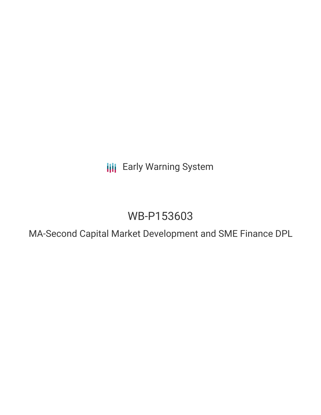**III** Early Warning System

# WB-P153603

MA-Second Capital Market Development and SME Finance DPL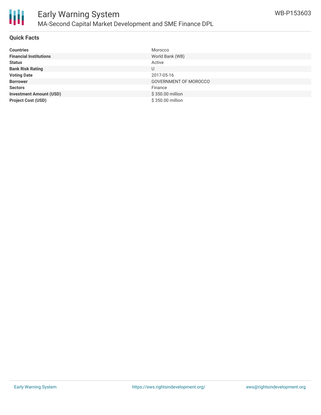

## **Quick Facts**

| <b>Countries</b>               | Morocco               |
|--------------------------------|-----------------------|
| <b>Financial Institutions</b>  | World Bank (WB)       |
| <b>Status</b>                  | Active                |
| <b>Bank Risk Rating</b>        | U                     |
| <b>Voting Date</b>             | 2017-05-16            |
| <b>Borrower</b>                | GOVERNMENT OF MOROCCO |
| <b>Sectors</b>                 | Finance               |
| <b>Investment Amount (USD)</b> | \$350.00 million      |
| <b>Project Cost (USD)</b>      | \$350.00 million      |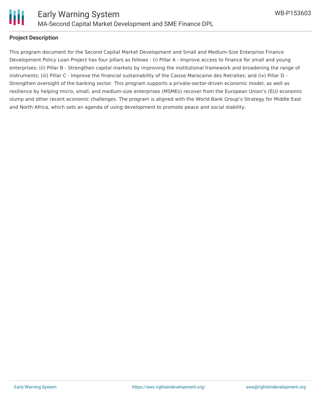

#### **Project Description**

This program document for the Second Capital Market Development and Small and Medium-Size Enterprise Finance Development Policy Loan Project has four pillars as follows : (i) Pillar A - Improve access to finance for small and young enterprises; (ii) Pillar B - Strengthen capital markets by improving the institutional framework and broadening the range of instruments; (iii) Pillar C - Improve the financial sustainability of the Caisse Marocaine des Retraites; and (iv) Pillar D - Strengthen oversight of the banking sector. This program supports a private-sector-driven economic model, as well as resilience by helping micro, small, and medium-size enterprises (MSMEs) recover from the European Union's (EU) economic slump and other recent economic challenges. The program is aligned with the World Bank Group's Strategy for Middle East and North Africa, which sets an agenda of using development to promote peace and social stability.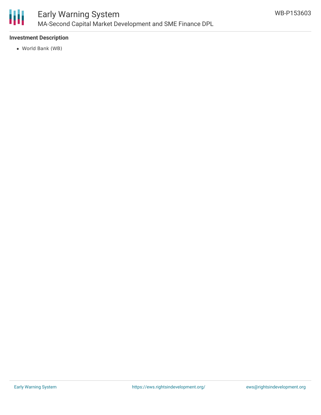

## **Investment Description**

World Bank (WB)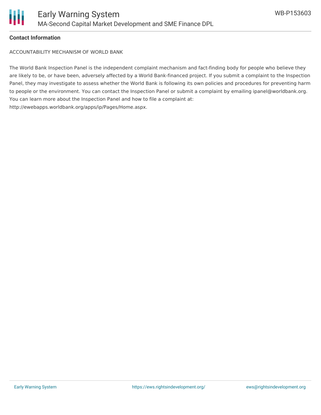

### **Contact Information**

ACCOUNTABILITY MECHANISM OF WORLD BANK

The World Bank Inspection Panel is the independent complaint mechanism and fact-finding body for people who believe they are likely to be, or have been, adversely affected by a World Bank-financed project. If you submit a complaint to the Inspection Panel, they may investigate to assess whether the World Bank is following its own policies and procedures for preventing harm to people or the environment. You can contact the Inspection Panel or submit a complaint by emailing ipanel@worldbank.org. You can learn more about the Inspection Panel and how to file a complaint at: http://ewebapps.worldbank.org/apps/ip/Pages/Home.aspx.